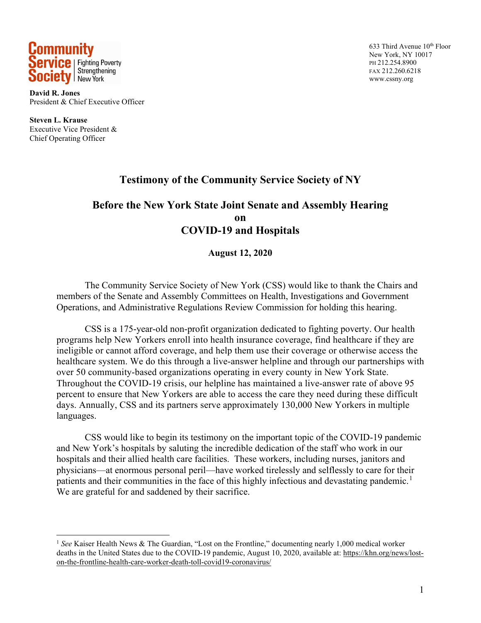

**David R. Jones** President & Chief Executive Officer

**Steven L. Krause** Executive Vice President & Chief Operating Officer

633 Third Avenue 10<sup>th</sup> Floor New York, NY 10017 PH 212.254.8900 FAX 212.260.6218 www.cssny.org

## **Testimony of the Community Service Society of NY**

### **Before the New York State Joint Senate and Assembly Hearing on COVID-19 and Hospitals**

#### **August 12, 2020**

The Community Service Society of New York (CSS) would like to thank the Chairs and members of the Senate and Assembly Committees on Health, Investigations and Government Operations, and Administrative Regulations Review Commission for holding this hearing.

CSS is a 175-year-old non-profit organization dedicated to fighting poverty. Our health programs help New Yorkers enroll into health insurance coverage, find healthcare if they are ineligible or cannot afford coverage, and help them use their coverage or otherwise access the healthcare system. We do this through a live-answer helpline and through our partnerships with over 50 community-based organizations operating in every county in New York State. Throughout the COVID-19 crisis, our helpline has maintained a live-answer rate of above 95 percent to ensure that New Yorkers are able to access the care they need during these difficult days. Annually, CSS and its partners serve approximately 130,000 New Yorkers in multiple languages.

CSS would like to begin its testimony on the important topic of the COVID-19 pandemic and New York's hospitals by saluting the incredible dedication of the staff who work in our hospitals and their allied health care facilities. These workers, including nurses, janitors and physicians—at enormous personal peril—have worked tirelessly and selflessly to care for their patients and their communities in the face of this highly infectious and devastating pandemic.<sup>[1](#page-0-0)</sup> We are grateful for and saddened by their sacrifice.

<span id="page-0-0"></span><sup>1</sup> *See* Kaiser Health News & The Guardian, "Lost on the Frontline," documenting nearly 1,000 medical worker deaths in the United States due to the COVID-19 pandemic, August 10, 2020, available at: [https://khn.org/news/lost](https://khn.org/news/lost-on-the-frontline-health-care-worker-death-toll-covid19-coronavirus/)[on-the-frontline-health-care-worker-death-toll-covid19-coronavirus/](https://khn.org/news/lost-on-the-frontline-health-care-worker-death-toll-covid19-coronavirus/)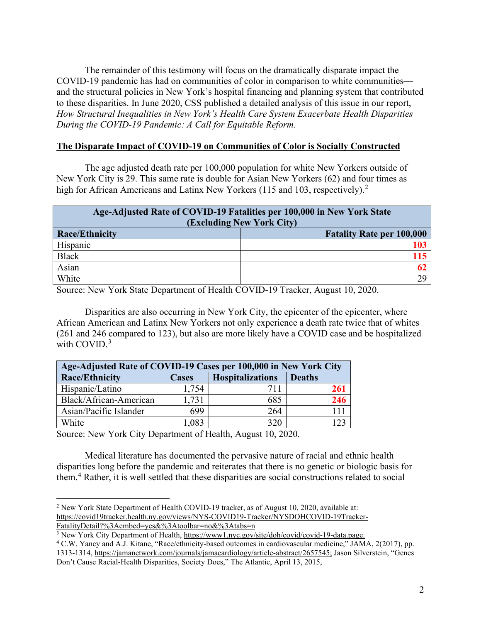The remainder of this testimony will focus on the dramatically disparate impact the COVID-19 pandemic has had on communities of color in comparison to white communities and the structural policies in New York's hospital financing and planning system that contributed to these disparities. In June 2020, CSS published a detailed analysis of this issue in our report, *How Structural Inequalities in New York's Health Care System Exacerbate Health Disparities During the COVID-19 Pandemic: A Call for Equitable Reform*.

#### **The Disparate Impact of COVID-19 on Communities of Color is Socially Constructed**

The age adjusted death rate per 100,000 population for white New Yorkers outside of New York City is 29. This same rate is double for Asian New Yorkers (62) and four times as high for African Americans and Latinx New Yorkers (115 and 103, respectively).<sup>[2](#page-1-0)</sup>

| Age-Adjusted Rate of COVID-19 Fatalities per 100,000 in New York State<br>(Excluding New York City) |                                  |  |
|-----------------------------------------------------------------------------------------------------|----------------------------------|--|
| <b>Race/Ethnicity</b>                                                                               | <b>Fatality Rate per 100,000</b> |  |
| Hispanic                                                                                            | 103                              |  |
| <b>Black</b>                                                                                        | 115                              |  |
| Asian                                                                                               | 62                               |  |
| White                                                                                               |                                  |  |

Source: New York State Department of Health COVID-19 Tracker, August 10, 2020.

Disparities are also occurring in New York City, the epicenter of the epicenter, where African American and Latinx New Yorkers not only experience a death rate twice that of whites (261 and 246 compared to 123), but also are more likely have a COVID case and be hospitalized with COVID.<sup>[3](#page-1-1)</sup>

| Age-Adjusted Rate of COVID-19 Cases per 100,000 in New York City |              |                         |               |
|------------------------------------------------------------------|--------------|-------------------------|---------------|
| <b>Race/Ethnicity</b>                                            | <b>Cases</b> | <b>Hospitalizations</b> | <b>Deaths</b> |
| Hispanic/Latino                                                  | 1,754        | 711                     | 261           |
| Black/African-American                                           | 1,731        | 685                     | 246           |
| Asian/Pacific Islander                                           | 699          | 264                     |               |
| White                                                            | 1,083        | 320                     |               |

Source: New York City Department of Health, August 10, 2020.

Medical literature has documented the pervasive nature of racial and ethnic health disparities long before the pandemic and reiterates that there is no genetic or biologic basis for them.[4](#page-1-2) Rather, it is well settled that these disparities are social constructions related to social

<span id="page-1-0"></span><sup>2</sup> New York State Department of Health COVID-19 tracker, as of August 10, 2020, available at: [https://covid19tracker.health.ny.gov/views/NYS-COVID19-Tracker/NYSDOHCOVID-19Tracker-](https://covid19tracker.health.ny.gov/views/NYS-COVID19-Tracker/NYSDOHCOVID-19Tracker-FatalityDetail?%3Aembed=yes&%3Atoolbar=no&%3Atabs=n)[FatalityDetail?%3Aembed=yes&%3Atoolbar=no&%3Atabs=n](https://covid19tracker.health.ny.gov/views/NYS-COVID19-Tracker/NYSDOHCOVID-19Tracker-FatalityDetail?%3Aembed=yes&%3Atoolbar=no&%3Atabs=n)

<span id="page-1-1"></span><sup>3</sup> New York City Department of Health, [https://www1.nyc.gov/site/doh/covid/covid-19-data.page.](https://www1.nyc.gov/site/doh/covid/covid-19-data.page)

<span id="page-1-2"></span><sup>4</sup> C.W. Yancy and A.J. Kitane, "Race/ethnicity-based outcomes in cardiovascular medicine," JAMA, 2(2017), pp. 1313-1314, [https://jamanetwork.com/journals/jamacardiology/article-abstract/2657545;](https://jamanetwork.com/journals/jamacardiology/article-abstract/2657545) Jason Silverstein, "Genes Don't Cause Racial-Health Disparities, Society Does," The Atlantic, April 13, 2015,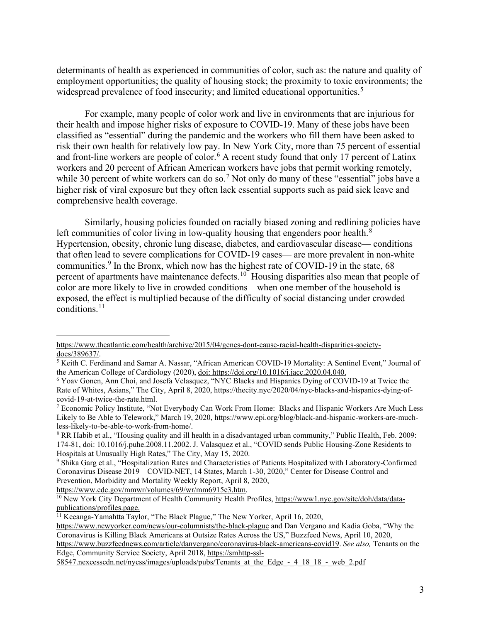determinants of health as experienced in communities of color, such as: the nature and quality of employment opportunities; the quality of housing stock; the proximity to toxic environments; the widespread prevalence of food insecurity; and limited educational opportunities.<sup>[5](#page-2-0)</sup>

For example, many people of color work and live in environments that are injurious for their health and impose higher risks of exposure to COVID-19. Many of these jobs have been classified as "essential" during the pandemic and the workers who fill them have been asked to risk their own health for relatively low pay. In New York City, more than 75 percent of essential and front-line workers are people of color.<sup>[6](#page-2-1)</sup> A recent study found that only 17 percent of Latinx workers and 20 percent of African American workers have jobs that permit working remotely, while 30 percent of white workers can do so.<sup>[7](#page-2-2)</sup> Not only do many of these "essential" jobs have a higher risk of viral exposure but they often lack essential supports such as paid sick leave and comprehensive health coverage.

Similarly, housing policies founded on racially biased zoning and redlining policies have left communities of color living in low-quality housing that engenders poor health.<sup>[8](#page-2-3)</sup> Hypertension, obesity, chronic lung disease, diabetes, and cardiovascular disease— conditions that often lead to severe complications for COVID-19 cases— are more prevalent in non-white communities.<sup>[9](#page-2-4)</sup> In the Bronx, which now has the highest rate of COVID-19 in the state,  $68$ percent of apartments have maintenance defects.<sup>10</sup> Housing disparities also mean that people of color are more likely to live in crowded conditions – when one member of the household is exposed, the effect is multiplied because of the difficulty of social distancing under crowded conditions. [11](#page-2-6)

https://www.theatlantic.com/health/archive/2015/04/genes-dont-cause-racial-health-disparities-societydoes/389637/.

<span id="page-2-0"></span><sup>5</sup> Keith C. Ferdinand and Samar A. Nassar, "African American COVID-19 Mortality: A Sentinel Event," Journal of the American College of Cardiology (2020), doi: [https://doi.org/10.1016/j.jacc.2020.04.040.](https://doi.org/10.1016/j.jacc.2020.04.040)

<span id="page-2-1"></span><sup>6</sup> Yoav Gonen, Ann Choi, and Josefa Velasquez, "NYC Blacks and Hispanics Dying of COVID-19 at Twice the Rate of Whites, Asians," The City, April 8, 2020, https://thecity.nyc/2020/04/nyc-blacks-and-hispanics-dying-of-<br>covid-19-at-twice-the-rate.html.

<span id="page-2-2"></span><sup>&</sup>lt;sup>7</sup> Economic Policy Institute, "Not Everybody Can Work From Home: Blacks and Hispanic Workers Are Much Less Likely to Be Able to Telework," March 19, 2020, [https://www.epi.org/blog/black-and-hispanic-workers-are-much](https://www.epi.org/blog/black-and-hispanic-workers-are-much-less-likely-to-be-able-to-work-from-home/)[less-likely-to-be-able-to-work-from-home/.](https://www.epi.org/blog/black-and-hispanic-workers-are-much-less-likely-to-be-able-to-work-from-home/)

<span id="page-2-3"></span><sup>8</sup> RR Habib et al., "Housing quality and ill health in a disadvantaged urban community," Public Health, Feb. 2009: 174-81, doi: 10.1016/j.puhe.2008.11.2002. J. Valasquez et al., "COVID sends Public Housing-Zone Residents to Hospitals at Unusually High Rates," The City, May 15, 2020.

<span id="page-2-4"></span><sup>9</sup> Shika Garg et al., "Hospitalization Rates and Characteristics of Patients Hospitalized with Laboratory-Confirmed Coronavirus Disease 2019 – COVID-NET, 14 States, March 1-30, 2020," Center for Disease Control and Prevention, Morbidity and Mortality Weekly Report, April 8, 2020, [https://www.cdc.gov/mmwr/volumes/69/wr/mm6915e3.htm.](https://www.cdc.gov/mmwr/volumes/69/wr/mm6915e3.htm)

<span id="page-2-5"></span><sup>&</sup>lt;sup>10</sup> New York City Department of Health Community Health Profiles, [https://www1.nyc.gov/site/doh/data/data](https://www1.nyc.gov/site/doh/data/data-publications/profiles.page)[publications/profiles.page.](https://www1.nyc.gov/site/doh/data/data-publications/profiles.page)

<span id="page-2-6"></span><sup>11</sup> Keeanga-Yamahtta Taylor, "The Black Plague," The New Yorker, April 16, 2020,

<https://www.newyorker.com/news/our-columnists/the-black-plague> and Dan Vergano and Kadia Goba, "Why the Coronavirus is Killing Black Americans at Outsize Rates Across the US," Buzzfeed News, April 10, 2020, [https://www.buzzfeednews.com/article/danvergano/coronavirus-black-americans-covid19.](https://www.buzzfeednews.com/article/danvergano/coronavirus-black-americans-covid19) *See also,* Tenants on the Edge, Community Service Society, April 2018, [https://smhttp-ssl-](https://smhttp-ssl-58547.nexcesscdn.net/nycss/images/uploads/pubs/Tenants_at_the_Edge_-_4_18_18_-_web_2.pdf)

[<sup>58547.</sup>nexcesscdn.net/nycss/images/uploads/pubs/Tenants\\_at\\_the\\_Edge\\_-\\_4\\_18\\_18\\_-\\_web\\_2.pdf](https://smhttp-ssl-58547.nexcesscdn.net/nycss/images/uploads/pubs/Tenants_at_the_Edge_-_4_18_18_-_web_2.pdf)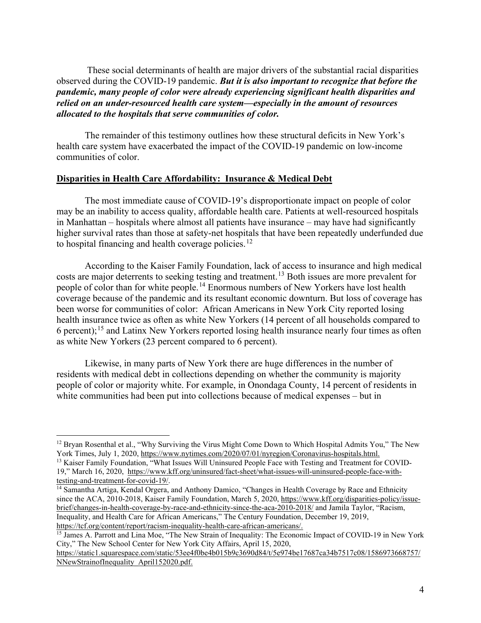These social determinants of health are major drivers of the substantial racial disparities observed during the COVID-19 pandemic. *But it is also important to recognize that before the pandemic, many people of color were already experiencing significant health disparities and relied on an under-resourced health care system—especially in the amount of resources allocated to the hospitals that serve communities of color.*

The remainder of this testimony outlines how these structural deficits in New York's health care system have exacerbated the impact of the COVID-19 pandemic on low-income communities of color.

#### **Disparities in Health Care Affordability: Insurance & Medical Debt**

The most immediate cause of COVID-19's disproportionate impact on people of color may be an inability to access quality, affordable health care. Patients at well-resourced hospitals in Manhattan – hospitals where almost all patients have insurance – may have had significantly higher survival rates than those at safety-net hospitals that have been repeatedly underfunded due to hospital financing and health coverage policies.<sup>[12](#page-3-0)</sup>

According to the Kaiser Family Foundation, lack of access to insurance and high medical costs are major deterrents to seeking testing and treatment.<sup>[13](#page-3-1)</sup> Both issues are more prevalent for people of color than for white people.<sup>[14](#page-3-2)</sup> Enormous numbers of New Yorkers have lost health coverage because of the pandemic and its resultant economic downturn. But loss of coverage has been worse for communities of color: African Americans in New York City reported losing health insurance twice as often as white New Yorkers (14 percent of all households compared to 6 percent);<sup>[15](#page-3-3)</sup> and Latinx New Yorkers reported losing health insurance nearly four times as often as white New Yorkers (23 percent compared to 6 percent).

Likewise, in many parts of New York there are huge differences in the number of residents with medical debt in collections depending on whether the community is majority people of color or majority white. For example, in Onondaga County, 14 percent of residents in white communities had been put into collections because of medical expenses – but in

<span id="page-3-0"></span> $12$  Bryan Rosenthal et al., "Why Surviving the Virus Might Come Down to Which Hospital Admits You," The New York Times, July 1, 2020, [https://www.nytimes.com/2020/07/01/nyregion/Coronavirus-hospitals.html.](https://www.nytimes.com/2020/07/01/nyregion/Coronavirus-hospitals.html)

<span id="page-3-1"></span><sup>&</sup>lt;sup>13</sup> Kaiser Family Foundation, "What Issues Will Uninsured People Face with Testing and Treatment for COVID-19," March 16, 2020, [https://www.kff.org/uninsured/fact-sheet/what-issues-will-uninsured-people-face-with](https://www.kff.org/uninsured/fact-sheet/what-issues-will-uninsured-people-face-with-testing-and-treatment-for-covid-19/)[testing-and-treatment-for-covid-19/.](https://www.kff.org/uninsured/fact-sheet/what-issues-will-uninsured-people-face-with-testing-and-treatment-for-covid-19/)

<span id="page-3-2"></span><sup>&</sup>lt;sup>14</sup> Samantha Artiga, Kendal Orgera, and Anthony Damico, "Changes in Health Coverage by Race and Ethnicity since the ACA, 2010-2018, Kaiser Family Foundation, March 5, 2020, [https://www.kff.org/disparities-policy/issue](https://www.kff.org/disparities-policy/issue-brief/changes-in-health-coverage-by-race-and-ethnicity-since-the-aca-2010-2018/)[brief/changes-in-health-coverage-by-race-and-ethnicity-since-the-aca-2010-2018/](https://www.kff.org/disparities-policy/issue-brief/changes-in-health-coverage-by-race-and-ethnicity-since-the-aca-2010-2018/) and Jamila Taylor, "Racism, Inequality, and Health Care for African Americans," The Century Foundation, December 19, 2019, [https://tcf.org/content/report/racism-inequality-health-care-african-americans/.](https://tcf.org/content/report/racism-inequality-health-care-african-americans/)

<span id="page-3-3"></span><sup>&</sup>lt;sup>15</sup> James A. Parrott and Lina Moe, "The New Strain of Inequality: The Economic Impact of COVID-19 in New York City," The New School Center for New York City Affairs, April 15, 2020,

[https://static1.squarespace.com/static/53ee4f0be4b015b9c3690d84/t/5e974be17687ca34b7517c08/1586973668757/](https://static1.squarespace.com/static/53ee4f0be4b015b9c3690d84/t/5e974be17687ca34b7517c08/1586973668757/NNewStrainofInequality_April152020.pdf) [NNewStrainofInequality\\_April152020.pdf.](https://static1.squarespace.com/static/53ee4f0be4b015b9c3690d84/t/5e974be17687ca34b7517c08/1586973668757/NNewStrainofInequality_April152020.pdf)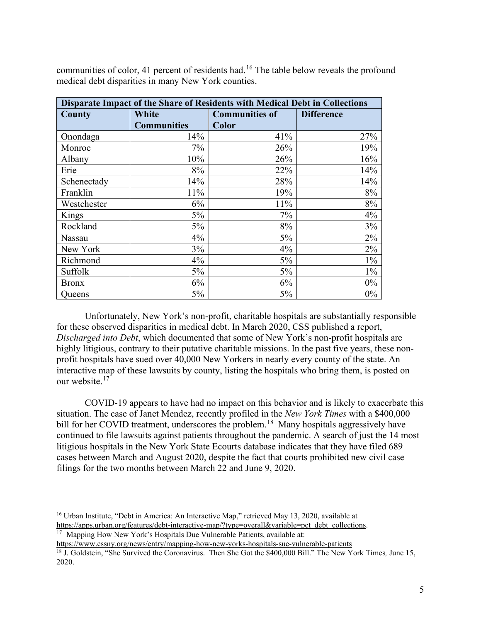| Disparate Impact of the Share of Residents with Medical Debt in Collections |                                |              |                   |
|-----------------------------------------------------------------------------|--------------------------------|--------------|-------------------|
| County                                                                      | White<br><b>Communities of</b> |              | <b>Difference</b> |
|                                                                             | <b>Communities</b>             | <b>Color</b> |                   |
| Onondaga                                                                    | 14%                            | 41%          | 27%               |
| Monroe                                                                      | 7%                             | 26%          | 19%               |
| Albany                                                                      | 10%                            | 26%          | 16%               |
| Erie                                                                        | 8%                             | 22%          | 14%               |
| Schenectady                                                                 | 14%                            | 28%          | 14%               |
| Franklin                                                                    | 11%                            | 19%          | 8%                |
| Westchester                                                                 | 6%                             | 11%          | 8%                |
| Kings                                                                       | $5\%$                          | 7%           | 4%                |
| Rockland                                                                    | 5%                             | 8%           | 3%                |
| Nassau                                                                      | 4%                             | 5%           | 2%                |
| New York                                                                    | $3\%$                          | 4%           | 2%                |
| Richmond                                                                    | 4%                             | $5\%$        | $1\%$             |
| Suffolk                                                                     | $5\%$                          | $5\%$        | $1\%$             |
| <b>Bronx</b>                                                                | 6%                             | 6%           | $0\%$             |
| Queens                                                                      | 5%                             | 5%           | $0\%$             |

communities of color, 41 percent of residents had.<sup>[16](#page-4-0)</sup> The table below reveals the profound medical debt disparities in many New York counties.

Unfortunately, New York's non-profit, charitable hospitals are substantially responsible for these observed disparities in medical debt. In March 2020, CSS published a report, *Discharged into Debt*, which documented that some of New York's non-profit hospitals are highly litigious, contrary to their putative charitable missions. In the past five years, these nonprofit hospitals have sued over 40,000 New Yorkers in nearly every county of the state. An interactive map of these lawsuits by county, listing the hospitals who bring them, is posted on our website.<sup>[17](#page-4-1)</sup>

COVID-19 appears to have had no impact on this behavior and is likely to exacerbate this situation. The case of Janet Mendez, recently profiled in the *New York Times* with a \$400,000 bill for her COVID treatment, underscores the problem.<sup>[18](#page-4-2)</sup> Many hospitals aggressively have continued to file lawsuits against patients throughout the pandemic. A search of just the 14 most litigious hospitals in the New York State Ecourts database indicates that they have filed 689 cases between March and August 2020, despite the fact that courts prohibited new civil case filings for the two months between March 22 and June 9, 2020.

<span id="page-4-0"></span><sup>&</sup>lt;sup>16</sup> Urban Institute, "Debt in America: An Interactive Map," retrieved May 13, 2020, available at [https://apps.urban.org/features/debt-interactive-map/?type=overall&variable=pct\\_debt\\_collections.](https://apps.urban.org/features/debt-interactive-map/?type=overall&variable=pct_debt_collections)

<span id="page-4-1"></span><sup>&</sup>lt;sup>17</sup> Mapping How New York's Hospitals Due Vulnerable Patients, available at:

<https://www.cssny.org/news/entry/mapping-how-new-yorks-hospitals-sue-vulnerable-patients>

<span id="page-4-2"></span><sup>18</sup> J. Goldstein, "She Survived the Coronavirus. Then She Got the \$400,000 Bill." The New York Times*,* June 15, 2020.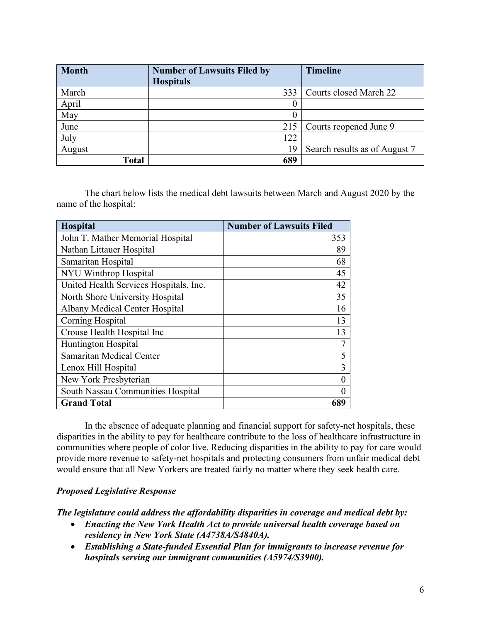| <b>Month</b> | <b>Number of Lawsuits Filed by</b> | <b>Timeline</b>               |
|--------------|------------------------------------|-------------------------------|
|              | <b>Hospitals</b>                   |                               |
| March        | 333                                | Courts closed March 22        |
| April        | O                                  |                               |
| May          | $_{0}$                             |                               |
| June         | 215                                | Courts reopened June 9        |
| July         | 122                                |                               |
| August       | 19                                 | Search results as of August 7 |
| <b>Total</b> | 689                                |                               |

The chart below lists the medical debt lawsuits between March and August 2020 by the name of the hospital:

| Hospital                               | <b>Number of Lawsuits Filed</b> |
|----------------------------------------|---------------------------------|
| John T. Mather Memorial Hospital       | 353                             |
| Nathan Littauer Hospital               | 89                              |
| Samaritan Hospital                     | 68                              |
| NYU Winthrop Hospital                  | 45                              |
| United Health Services Hospitals, Inc. | 42                              |
| North Shore University Hospital        | 35                              |
| <b>Albany Medical Center Hospital</b>  | 16                              |
| Corning Hospital                       | 13                              |
| Crouse Health Hospital Inc             | 13                              |
| Huntington Hospital                    | 7                               |
| Samaritan Medical Center               | 5                               |
| Lenox Hill Hospital                    | 3                               |
| New York Presbyterian                  | 0                               |
| South Nassau Communities Hospital      | 0                               |
| <b>Grand Total</b>                     |                                 |

In the absence of adequate planning and financial support for safety-net hospitals, these disparities in the ability to pay for healthcare contribute to the loss of healthcare infrastructure in communities where people of color live. Reducing disparities in the ability to pay for care would provide more revenue to safety-net hospitals and protecting consumers from unfair medical debt would ensure that all New Yorkers are treated fairly no matter where they seek health care.

#### *Proposed Legislative Response*

*The legislature could address the affordability disparities in coverage and medical debt by:* 

- *Enacting the New York Health Act to provide universal health coverage based on residency in New York State (A4738A/S4840A).*
- *Establishing a State-funded Essential Plan for immigrants to increase revenue for hospitals serving our immigrant communities (A5974/S3900).*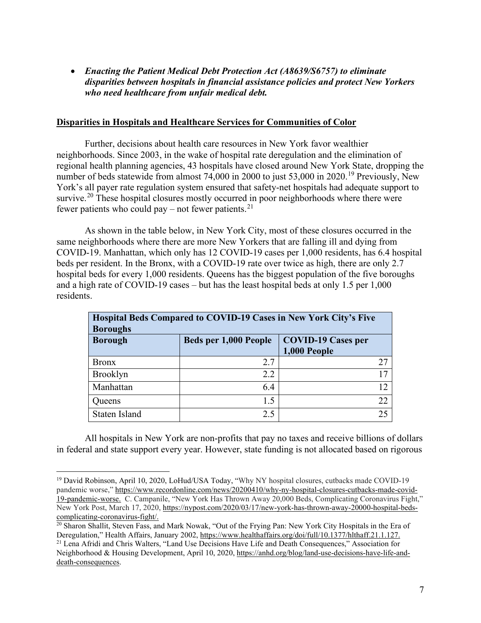• *Enacting the Patient Medical Debt Protection Act (A8639/S6757) to eliminate disparities between hospitals in financial assistance policies and protect New Yorkers who need healthcare from unfair medical debt.*

#### **Disparities in Hospitals and Healthcare Services for Communities of Color**

Further, decisions about health care resources in New York favor wealthier neighborhoods. Since 2003, in the wake of hospital rate deregulation and the elimination of regional health planning agencies, 43 hospitals have closed around New York State, dropping the number of beds statewide from almost 74,000 in 2000 to just 53,000 in 2020.<sup>[19](#page-6-0)</sup> Previously, New York's all payer rate regulation system ensured that safety-net hospitals had adequate support to survive.<sup>[20](#page-6-1)</sup> These hospital closures mostly occurred in poor neighborhoods where there were fewer patients who could pay – not fewer patients.<sup>[21](#page-6-2)</sup>

As shown in the table below, in New York City, most of these closures occurred in the same neighborhoods where there are more New Yorkers that are falling ill and dying from COVID-19. Manhattan, which only has 12 COVID-19 cases per 1,000 residents, has 6.4 hospital beds per resident. In the Bronx, with a COVID-19 rate over twice as high, there are only 2.7 hospital beds for every 1,000 residents. Queens has the biggest population of the five boroughs and a high rate of COVID-19 cases – but has the least hospital beds at only 1.5 per 1,000 residents.

| Hospital Beds Compared to COVID-19 Cases in New York City's Five<br><b>Boroughs</b> |                       |                           |  |
|-------------------------------------------------------------------------------------|-----------------------|---------------------------|--|
| <b>Borough</b>                                                                      | Beds per 1,000 People | <b>COVID-19 Cases per</b> |  |
|                                                                                     |                       | 1,000 People              |  |
| <b>Bronx</b>                                                                        | 2.7                   | 27                        |  |
| Brooklyn                                                                            | 2.2                   | 17                        |  |
| Manhattan                                                                           | 6.4                   | 12                        |  |
| Queens                                                                              | 1.5                   | 22                        |  |
| Staten Island                                                                       | 2.5                   | 25                        |  |

All hospitals in New York are non-profits that pay no taxes and receive billions of dollars in federal and state support every year. However, state funding is not allocated based on rigorous

<span id="page-6-0"></span><sup>&</sup>lt;sup>19</sup> David Robinson, April 10, 2020, LoHud/USA Today, "Why NY hospital closures, cutbacks made COVID-19 pandemic worse,[" https://www.recordonline.com/news/20200410/why-ny-hospital-closures-cutbacks-made-covid-](https://www.recordonline.com/news/20200410/why-ny-hospital-closures-cutbacks-made-covid-19-pandemic-worse)[19-pandemic-worse.](https://www.recordonline.com/news/20200410/why-ny-hospital-closures-cutbacks-made-covid-19-pandemic-worse) C. Campanile, "New York Has Thrown Away 20,000 Beds, Complicating Coronavirus Fight," New York Post, March 17, 2020, [https://nypost.com/2020/03/17/new-york-has-thrown-away-20000-hospital-beds](https://nypost.com/2020/03/17/new-york-has-thrown-away-20000-hospital-beds-complicating-coronavirus-fight/)[complicating-coronavirus-fight/.](https://nypost.com/2020/03/17/new-york-has-thrown-away-20000-hospital-beds-complicating-coronavirus-fight/)

<span id="page-6-2"></span><span id="page-6-1"></span><sup>&</sup>lt;sup>20</sup> Sharon Shallit, Steven Fass, and Mark Nowak, "Out of the Frying Pan: New York City Hospitals in the Era of Deregulation," Health Affairs, January 2002[, https://www.healthaffairs.org/doi/full/10.1377/hlthaff.21.1.127.](https://www.healthaffairs.org/doi/full/10.1377/hlthaff.21.1.127) <sup>21</sup> Lena Afridi and Chris Walters, "Land Use Decisions Have Life and Death Consequences," Association for Neighborhood & Housing Development, April 10, 2020[, https://anhd.org/blog/land-use-decisions-have-life-and](https://anhd.org/blog/land-use-decisions-have-life-and-death-consequences)[death-consequences.](https://anhd.org/blog/land-use-decisions-have-life-and-death-consequences)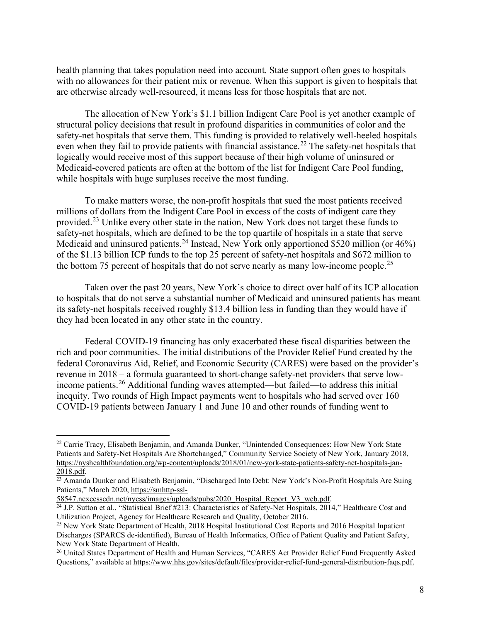health planning that takes population need into account. State support often goes to hospitals with no allowances for their patient mix or revenue. When this support is given to hospitals that are otherwise already well-resourced, it means less for those hospitals that are not.

The allocation of New York's \$1.1 billion Indigent Care Pool is yet another example of structural policy decisions that result in profound disparities in communities of color and the safety-net hospitals that serve them. This funding is provided to relatively well-heeled hospitals even when they fail to provide patients with financial assistance.<sup>[22](#page-7-0)</sup> The safety-net hospitals that logically would receive most of this support because of their high volume of uninsured or Medicaid-covered patients are often at the bottom of the list for Indigent Care Pool funding, while hospitals with huge surpluses receive the most funding.

To make matters worse, the non-profit hospitals that sued the most patients received millions of dollars from the Indigent Care Pool in excess of the costs of indigent care they provided.[23](#page-7-1) Unlike every other state in the nation, New York does not target these funds to safety-net hospitals, which are defined to be the top quartile of hospitals in a state that serve Medicaid and uninsured patients.<sup>[24](#page-7-2)</sup> Instead, New York only apportioned \$520 million (or 46%) of the \$1.13 billion ICP funds to the top 25 percent of safety-net hospitals and \$672 million to the bottom 75 percent of hospitals that do not serve nearly as many low-income people.<sup>[25](#page-7-3)</sup>

Taken over the past 20 years, New York's choice to direct over half of its ICP allocation to hospitals that do not serve a substantial number of Medicaid and uninsured patients has meant its safety-net hospitals received roughly \$13.4 billion less in funding than they would have if they had been located in any other state in the country.

Federal COVID-19 financing has only exacerbated these fiscal disparities between the rich and poor communities. The initial distributions of the Provider Relief Fund created by the federal Coronavirus Aid, Relief, and Economic Security (CARES) were based on the provider's revenue in 2018 – a formula guaranteed to short-change safety-net providers that serve low-income patients.<sup>[26](#page-7-4)</sup> Additional funding waves attempted—but failed—to address this initial inequity. Two rounds of High Impact payments went to hospitals who had served over 160 COVID-19 patients between January 1 and June 10 and other rounds of funding went to

<span id="page-7-0"></span><sup>&</sup>lt;sup>22</sup> Carrie Tracy, Elisabeth Benjamin, and Amanda Dunker, "Unintended Consequences: How New York State Patients and Safety-Net Hospitals Are Shortchanged," Community Service Society of New York, January 2018, [https://nyshealthfoundation.org/wp-content/uploads/2018/01/new-york-state-patients-safety-net-hospitals-jan-](https://nyshealthfoundation.org/wp-content/uploads/2018/01/new-york-state-patients-safety-net-hospitals-jan-2018.pdf)[2018.pdf.](https://nyshealthfoundation.org/wp-content/uploads/2018/01/new-york-state-patients-safety-net-hospitals-jan-2018.pdf)<br><sup>23</sup> Amanda Dunker and Elisabeth Benjamin, "Discharged Into Debt: New York's Non-Profit Hospitals Are Suing

<span id="page-7-1"></span>Patients," March 2020[, https://smhttp-ssl-](https://smhttp-ssl-58547.nexcesscdn.net/nycss/images/uploads/pubs/2020_Hospital_Report_V3_web.pdf)

<span id="page-7-2"></span>[<sup>58547.</sup>nexcesscdn.net/nycss/images/uploads/pubs/2020\\_Hospital\\_Report\\_V3\\_web.pdf.](https://smhttp-ssl-58547.nexcesscdn.net/nycss/images/uploads/pubs/2020_Hospital_Report_V3_web.pdf) <sup>24</sup> J.P. Sutton et al., "Statistical Brief #213: Characteristics of Safety-Net Hospitals, 2014," Healthcare Cost and Utilization Project, Agency for Healthcare Research and Quality, October 2016.

<span id="page-7-3"></span><sup>&</sup>lt;sup>25</sup> New York State Department of Health, 2018 Hospital Institutional Cost Reports and 2016 Hospital Inpatient Discharges (SPARCS de-identified), Bureau of Health Informatics, Office of Patient Quality and Patient Safety, New York State Department of Health.

<span id="page-7-4"></span><sup>&</sup>lt;sup>26</sup> United States Department of Health and Human Services, "CARES Act Provider Relief Fund Frequently Asked Questions," available a[t https://www.hhs.gov/sites/default/files/provider-relief-fund-general-distribution-faqs.pdf.](https://www.hhs.gov/sites/default/files/provider-relief-fund-general-distribution-faqs.pdf)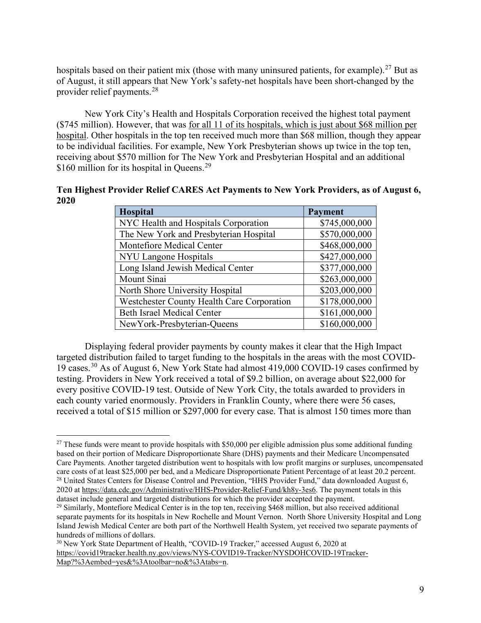hospitals based on their patient mix (those with many uninsured patients, for example).<sup>[27](#page-8-0)</sup> But as of August, it still appears that New York's safety-net hospitals have been short-changed by the provider relief payments.[28](#page-8-1)

New York City's Health and Hospitals Corporation received the highest total payment (\$745 million). However, that was for all 11 of its hospitals, which is just about \$68 million per hospital. Other hospitals in the top ten received much more than \$68 million, though they appear to be individual facilities. For example, New York Presbyterian shows up twice in the top ten, receiving about \$570 million for The New York and Presbyterian Hospital and an additional \$160 million for its hospital in Queens. $29$ 

**Ten Highest Provider Relief CARES Act Payments to New York Providers, as of August 6, 2020**

| <b>Hospital</b>                                   | <b>Payment</b> |
|---------------------------------------------------|----------------|
| NYC Health and Hospitals Corporation              | \$745,000,000  |
| The New York and Presbyterian Hospital            | \$570,000,000  |
| Montefiore Medical Center                         | \$468,000,000  |
| NYU Langone Hospitals                             | \$427,000,000  |
| Long Island Jewish Medical Center                 | \$377,000,000  |
| Mount Sinai                                       | \$263,000,000  |
| North Shore University Hospital                   | \$203,000,000  |
| <b>Westchester County Health Care Corporation</b> | \$178,000,000  |
| <b>Beth Israel Medical Center</b>                 | \$161,000,000  |
| NewYork-Presbyterian-Queens                       | \$160,000,000  |

Displaying federal provider payments by county makes it clear that the High Impact targeted distribution failed to target funding to the hospitals in the areas with the most COVID-19 cases.[30](#page-8-3) As of August 6, New York State had almost 419,000 COVID-19 cases confirmed by testing. Providers in New York received a total of \$9.2 billion, on average about \$22,000 for every positive COVID-19 test. Outside of New York City, the totals awarded to providers in each county varied enormously. Providers in Franklin County, where there were 56 cases, received a total of \$15 million or \$297,000 for every case. That is almost 150 times more than

<span id="page-8-0"></span> $27$  These funds were meant to provide hospitals with \$50,000 per eligible admission plus some additional funding based on their portion of Medicare Disproportionate Share (DHS) payments and their Medicare Uncompensated Care Payments. Another targeted distribution went to hospitals with low profit margins or surpluses, uncompensated care costs of at least \$25,000 per bed, and a Medicare Disproportionate Patient Percentage of at least 20.2 percent. 28 United States Centers for Disease Control and Prevention, "HHS Provider Fund," data downloaded August 6, 2020 at [https://data.cdc.gov/Administrative/HHS-Provider-Relief-Fund/kh8y-3es6.](https://data.cdc.gov/Administrative/HHS-Provider-Relief-Fund/kh8y-3es6) The payment totals in this dataset include general and targeted distributions for which the provider accepted the payment.

<span id="page-8-2"></span><span id="page-8-1"></span> $^{29}$  Similarly, Montefiore Medical Center is in the top ten, receiving \$468 million, but also received additional separate payments for its hospitals in New Rochelle and Mount Vernon. North Shore University Hospital and Long Island Jewish Medical Center are both part of the Northwell Health System, yet received two separate payments of hundreds of millions of dollars.

<span id="page-8-3"></span><sup>&</sup>lt;sup>30</sup> New York State Department of Health, "COVID-19 Tracker," accessed August 6, 2020 at [https://covid19tracker.health.ny.gov/views/NYS-COVID19-Tracker/NYSDOHCOVID-19Tracker-](https://covid19tracker.health.ny.gov/views/NYS-COVID19-Tracker/NYSDOHCOVID-19Tracker-Map?%3Aembed=yes&%3Atoolbar=no&%3Atabs=n)[Map?%3Aembed=yes&%3Atoolbar=no&%3Atabs=n.](https://covid19tracker.health.ny.gov/views/NYS-COVID19-Tracker/NYSDOHCOVID-19Tracker-Map?%3Aembed=yes&%3Atoolbar=no&%3Atabs=n)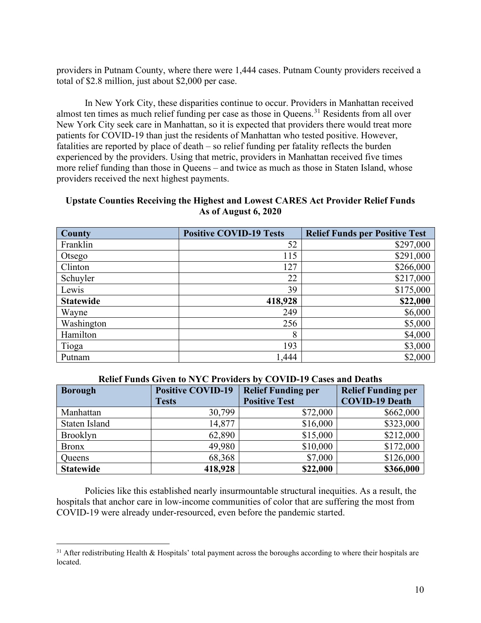providers in Putnam County, where there were 1,444 cases. Putnam County providers received a total of \$2.8 million, just about \$2,000 per case.

In New York City, these disparities continue to occur. Providers in Manhattan received almost ten times as much relief funding per case as those in Queens.<sup>[31](#page-9-0)</sup> Residents from all over New York City seek care in Manhattan, so it is expected that providers there would treat more patients for COVID-19 than just the residents of Manhattan who tested positive. However, fatalities are reported by place of death – so relief funding per fatality reflects the burden experienced by the providers. Using that metric, providers in Manhattan received five times more relief funding than those in Queens – and twice as much as those in Staten Island, whose providers received the next highest payments.

#### **Upstate Counties Receiving the Highest and Lowest CARES Act Provider Relief Funds As of August 6, 2020**

| <b>County</b>    | <b>Positive COVID-19 Tests</b> | <b>Relief Funds per Positive Test</b> |
|------------------|--------------------------------|---------------------------------------|
| Franklin         | 52                             | \$297,000                             |
| Otsego           | 115                            | \$291,000                             |
| Clinton          | 127                            | \$266,000                             |
| Schuyler         | 22                             | \$217,000                             |
| Lewis            | 39                             | \$175,000                             |
| <b>Statewide</b> | 418,928                        | \$22,000                              |
| Wayne            | 249                            | \$6,000                               |
| Washington       | 256                            | \$5,000                               |
| Hamilton         | 8                              | \$4,000                               |
| Tioga            | 193                            | \$3,000                               |
| Putnam           | 1,444                          | \$2,000                               |

#### **Relief Funds Given to NYC Providers by COVID-19 Cases and Deaths**

| <b>Borough</b>   | <b>Positive COVID-19</b> | <b>Relief Funding per</b> | <b>Relief Funding per</b> |
|------------------|--------------------------|---------------------------|---------------------------|
|                  | <b>Tests</b>             | <b>Positive Test</b>      | <b>COVID-19 Death</b>     |
| Manhattan        | 30,799                   | \$72,000                  | \$662,000                 |
| Staten Island    | 14,877                   | \$16,000                  | \$323,000                 |
| Brooklyn         | 62,890                   | \$15,000                  | \$212,000                 |
| <b>Bronx</b>     | 49,980                   | \$10,000                  | \$172,000                 |
| Queens           | 68,368                   | \$7,000                   | \$126,000                 |
| <b>Statewide</b> | 418,928                  | \$22,000                  | \$366,000                 |

Policies like this established nearly insurmountable structural inequities. As a result, the hospitals that anchor care in low-income communities of color that are suffering the most from COVID-19 were already under-resourced, even before the pandemic started.

<span id="page-9-0"></span> $31$  After redistributing Health & Hospitals' total payment across the boroughs according to where their hospitals are located.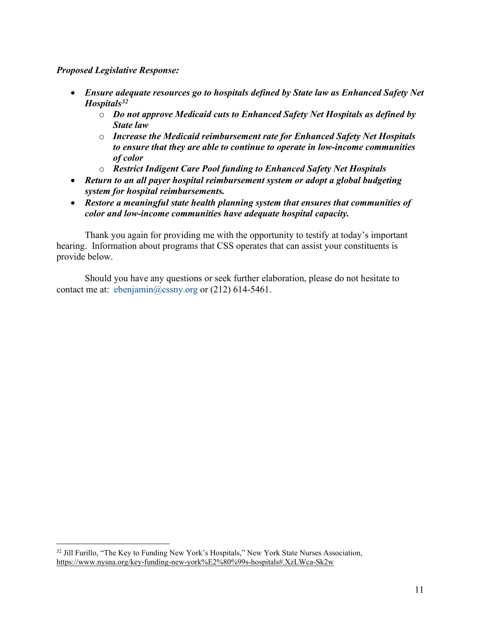#### *Proposed Legislative Response:*

- *Ensure adequate resources go to hospitals defined by State law as Enhanced Safety Net Hospitals[32](#page-10-0)*
	- o *Do not approve Medicaid cuts to Enhanced Safety Net Hospitals as defined by State law*
	- o *Increase the Medicaid reimbursement rate for Enhanced Safety Net Hospitals to ensure that they are able to continue to operate in low-income communities of color*
	- o *Restrict Indigent Care Pool funding to Enhanced Safety Net Hospitals*
- *Return to an all payer hospital reimbursement system or adopt a global budgeting system for hospital reimbursements.*
- *Restore a meaningful state health planning system that ensures that communities of color and low-income communities have adequate hospital capacity.*

Thank you again for providing me with the opportunity to testify at today's important hearing. Information about programs that CSS operates that can assist your constituents is provide below.

Should you have any questions or seek further elaboration, please do not hesitate to contact me at: [ebenjamin@cssny.org](mailto:ebenjamin@cssny.org) or (212) 614-5461.

<span id="page-10-0"></span><sup>&</sup>lt;sup>32</sup> Jill Furillo, "The Key to Funding New York's Hospitals," New York State Nurses Association, <https://www.nysna.org/key-funding-new-york%E2%80%99s-hospitals#.XzLWca-Sk2w>